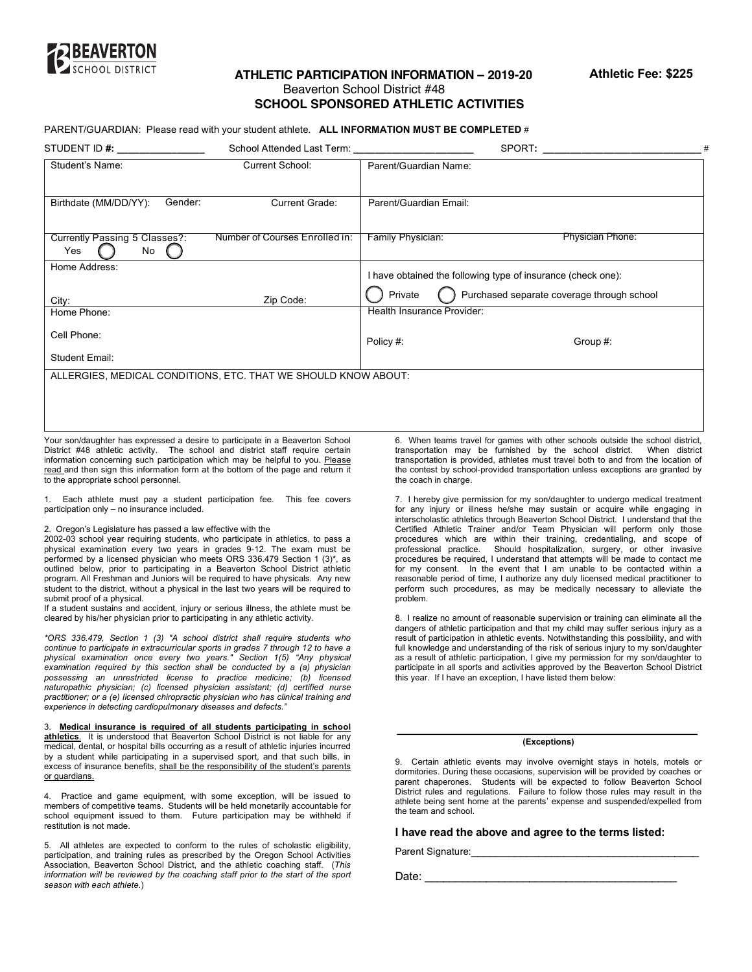

# **ATHLETIC PARTICIPATION INFORMATION – 2019-20** Beaverton School District #48 **SCHOOL SPONSORED ATHLETIC ACTIVITIES**

### PARENT/GUARDIAN: Please read with your student athlete. **ALL INFORMATION MUST BE COMPLETED** #

| STUDENT ID #:                                                  | School Attended Last Term:     | SPORT: the contract of the contract of the contract of the contract of the contract of the contract of the contract of the contract of the contract of the contract of the contract of the contract of the contract of the con |
|----------------------------------------------------------------|--------------------------------|--------------------------------------------------------------------------------------------------------------------------------------------------------------------------------------------------------------------------------|
| Student's Name:                                                | Current School:                | Parent/Guardian Name:                                                                                                                                                                                                          |
| Birthdate (MM/DD/YY):<br>Gender:                               | Current Grade:                 | Parent/Guardian Email:                                                                                                                                                                                                         |
| Currently Passing 5 Classes?:<br>No<br>Yes                     | Number of Courses Enrolled in: | <b>Physician Phone:</b><br>Family Physician:                                                                                                                                                                                   |
| Home Address:                                                  |                                | I have obtained the following type of insurance (check one):                                                                                                                                                                   |
|                                                                |                                | Purchased separate coverage through school<br>Private                                                                                                                                                                          |
| City:                                                          | Zip Code:                      |                                                                                                                                                                                                                                |
| Home Phone:                                                    |                                | Health Insurance Provider:                                                                                                                                                                                                     |
| Cell Phone:                                                    |                                | Policy #:<br>Group #:                                                                                                                                                                                                          |
| Student Email:                                                 |                                |                                                                                                                                                                                                                                |
| ALLERGIES, MEDICAL CONDITIONS, ETC. THAT WE SHOULD KNOW ABOUT: |                                |                                                                                                                                                                                                                                |
|                                                                |                                |                                                                                                                                                                                                                                |
|                                                                |                                |                                                                                                                                                                                                                                |
|                                                                |                                |                                                                                                                                                                                                                                |

 Your son/daughter has expressed a desire to participate in a Beaverton School District #48 athletic activity. The school and district staff require certain information concerning such participation which may be helpful to you. Please read and then sign this information form at the bottom of the page and return it to the appropriate school personnel.

 1. Each athlete must pay a student participation fee. This fee covers participation only – no insurance included.

#### 2. Oregon's Legislature has passed a law effective with the

 2002-03 school year requiring students, who participate in athletics, to pass a physical examination every two years in grades 9-12. The exam must be performed by a licensed physician who meets ORS 336.479 Section 1 (3)\*, as outlined below, prior to participating in a Beaverton School District athletic program. All Freshman and Juniors will be required to have physicals. Any new student to the district, without a physical in the last two years will be required to submit proof of a physical.

 If a student sustains and accident, injury or serious illness, the athlete must be cleared by his/her physician prior to participating in any athletic activity.

 *\*ORS 336.479, Section 1 (3) "A school district shall require students who continue to participate in extracurricular sports in grades 7 through 12 to have a physical examination once every two years." Section 1(5) "Any physical naturopathic physician; (c) licensed physician assistant; (d) certified nurse practitioner; or a (e) licensed chiropractic physician who has clinical training and experience in detecting cardiopulmonary diseases and defects." examination required by this section shall be conducted by a (a) physician possessing an unrestricted license to practice medicine; (b) licensed*

 3. **Medical insurance is required of all students participating in school athletics**. It is understood that Beaverton School District is not liable for any medical, dental, or hospital bills occurring as a result of athletic injuries incurred by a student while participating in a supervised sport, and that such bills, in excess of insurance benefits, shall be the responsibility of the student's parents or guardians.

 4. Practice and game equipment, with some exception, will be issued to members of competitive teams. Students will be held monetarily accountable for school equipment issued to them. Future participation may be withheld if restitution is not made.

 5. All athletes are expected to conform to the rules of scholastic eligibility, participation, and training rules as prescribed by the Oregon School Activities Association, Beaverton School District, and the athletic coaching staff. (*This information will be reviewed by the coaching staff prior to the start of the sport season with each athlete*.)

 6. When teams travel for games with other schools outside the school district, transportation may be furnished by the school district. When district transportation is provided, athletes must travel both to and from the location of the contest by school-provided transportation unless exceptions are granted by the coach in charge.

 7. I hereby give permission for my son/daughter to undergo medical treatment for any injury or illness he/she may sustain or acquire while engaging in interscholastic athletics through Beaverton School District. I understand that the Certified Athletic Trainer and/or Team Physician will perform only those procedures be required, I understand that attempts will be made to contact me for my consent. In the event that I am unable to be contacted within a reasonable period of time, I authorize any duly licensed medical practitioner to perform such procedures, as may be medically necessary to alleviate the procedures which are within their training, credentialing, and scope of professional practice. Should hospitalization, surgery, or other invasive problem.

 8. I realize no amount of reasonable supervision or training can eliminate all the dangers of athletic participation and that my child may suffer serious injury as a result of participation in athletic events. Notwithstanding this possibility, and with as a result of athletic participation, I give my permission for my son/daughter to participate in all sports and activities approved by the Beaverton School District full knowledge and understanding of the risk of serious injury to my son/daughter this year. If I have an exception, I have listed them below:

#### **(Exceptions)**

 9. Certain athletic events may involve overnight stays in hotels, motels or dormitories. During these occasions, supervision will be provided by coaches or parent chaperones. Students will be expected to follow Beaverton School District rules and regulations. Failure to follow those rules may result in the athlete being sent home at the parents' expense and suspended/expelled from the team and school.

#### **I have read the above and agree to the terms listed:**

Parent Signature:

Date: